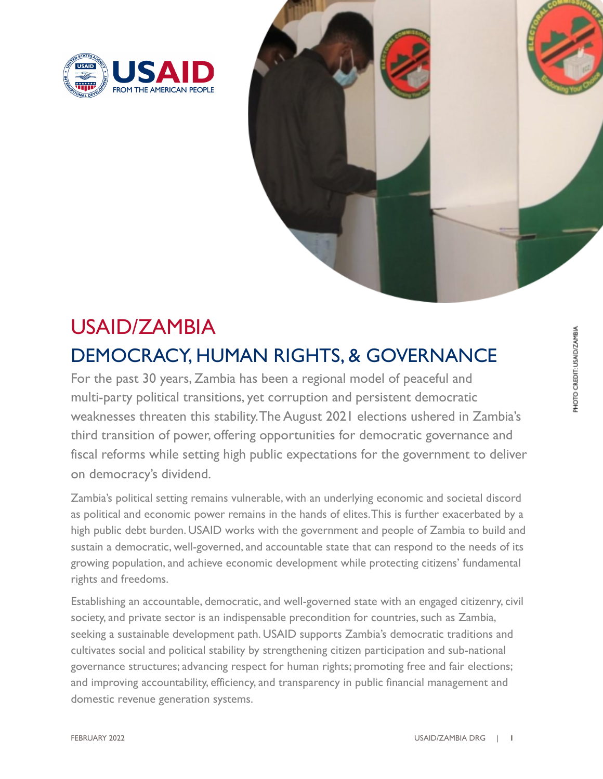



# USAID/ZAMBIA DEMOCRACY, HUMAN RIGHTS, & GOVERNANCE

For the past 30 years, Zambia has been a regional model of peaceful and multi-party political transitions, yet corruption and persistent democratic weaknesses threaten this stability.The August 2021 elections ushered in Zambia's third transition of power, offering opportunities for democratic governance and fiscal reforms while setting high public expectations for the government to deliver on democracy's dividend.

Zambia's political setting remains vulnerable, with an underlying economic and societal discord as political and economic power remains in the hands of elites.This is further exacerbated by a high public debt burden. USAID works with the government and people of Zambia to build and sustain a democratic, well-governed, and accountable state that can respond to the needs of its growing population, and achieve economic development while protecting citizens' fundamental rights and freedoms.

Establishing an accountable, democratic, and well-governed state with an engaged citizenry, civil society, and private sector is an indispensable precondition for countries, such as Zambia, seeking a sustainable development path. USAID supports Zambia's democratic traditions and cultivates social and political stability by strengthening citizen participation and sub-national governance structures; advancing respect for human rights; promoting free and fair elections; and improving accountability, efficiency, and transparency in public financial management and domestic revenue generation systems.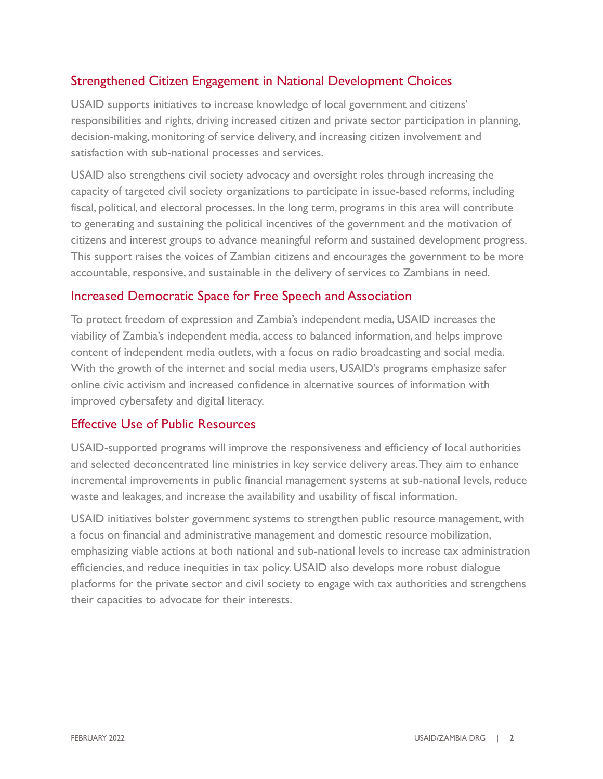## Strengthened Citizen Engagement in National Development Choices

USAID supports initiatives to increase knowledge of local government and citizens' responsibilities and rights, driving increased citizen and private sector participation in planning, decision-making, monitoring of service delivery, and increasing citizen involvement and satisfaction with sub-national processes and services.

USAID also strengthens civil society advocacy and oversight roles through increasing the capacity of targeted civil society organizations to participate in issue-based reforms, including fiscal, political, and electoral processes. In the long term, programs in this area will contribute to generating and sustaining the political incentives of the government and the motivation of citizens and interest groups to advance meaningful reform and sustained development progress. This support raises the voices of Zambian citizens and encourages the government to be more accountable, responsive, and sustainable in the delivery of services to Zambians in need.

#### Increased Democratic Space for Free Speech and Association

To protect freedom of expression and Zambia's independent media, USAID increases the viability of Zambia's independent media, access to balanced information, and helps improve content of independent media outlets, with a focus on radio broadcasting and social media. With the growth of the internet and social media users, USAID's programs emphasize safer online civic activism and increased confidence in alternative sources of information with improved cybersafety and digital literacy.

#### Effective Use of Public Resources

USAID-supported programs will improve the responsiveness and efficiency of local authorities and selected deconcentrated line ministries in key service delivery areas.They aim to enhance incremental improvements in public financial management systems at sub-national levels, reduce waste and leakages, and increase the availability and usability of fiscal information.

USAID initiatives bolster government systems to strengthen public resource management, with a focus on financial and administrative management and domestic resource mobilization, emphasizing viable actions at both national and sub-national levels to increase tax administration efficiencies, and reduce inequities in tax policy. USAID also develops more robust dialogue platforms for the private sector and civil society to engage with tax authorities and strengthens their capacities to advocate for their interests.